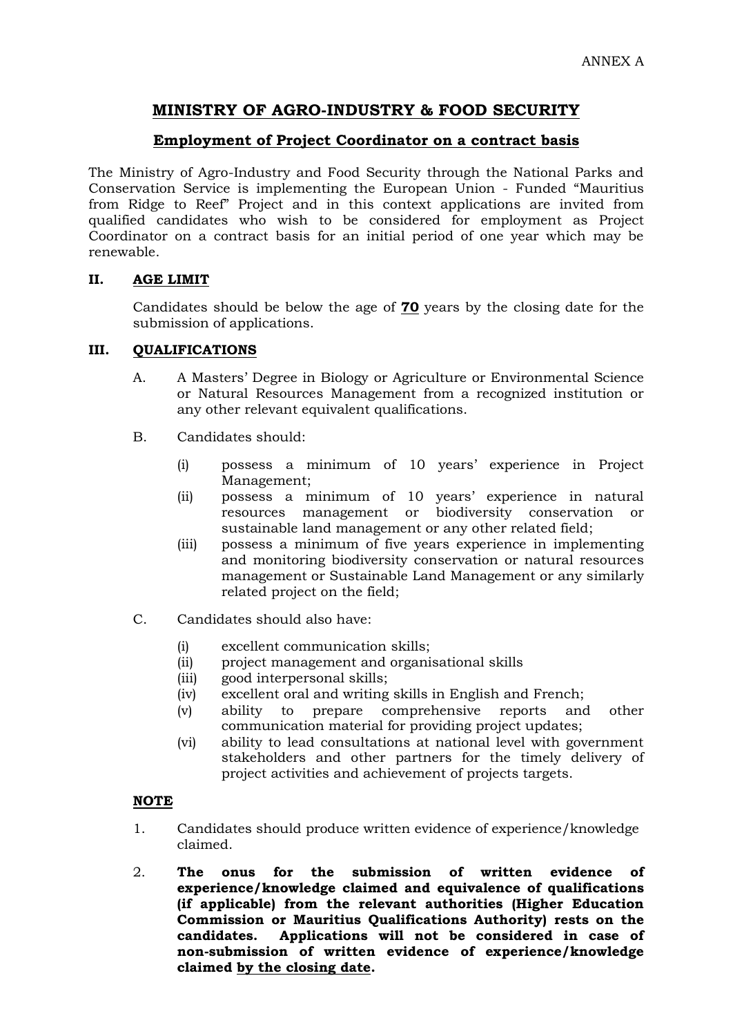# **MINISTRY OF AGRO-INDUSTRY & FOOD SECURITY**

## **Employment of Project Coordinator on a contract basis**

The Ministry of Agro-Industry and Food Security through the National Parks and Conservation Service is implementing the European Union - Funded "Mauritius from Ridge to Reef" Project and in this context applications are invited from qualified candidates who wish to be considered for employment as Project Coordinator on a contract basis for an initial period of one year which may be renewable.

### **II. AGE LIMIT**

Candidates should be below the age of **70** years by the closing date for the submission of applications.

### **III. QUALIFICATIONS**

- A. A Masters' Degree in Biology or Agriculture or Environmental Science or Natural Resources Management from a recognized institution or any other relevant equivalent qualifications.
- B. Candidates should:
	- (i) possess a minimum of 10 years' experience in Project Management;
	- (ii) possess a minimum of 10 years' experience in natural resources management or biodiversity conservation or sustainable land management or any other related field;
	- (iii) possess a minimum of five years experience in implementing and monitoring biodiversity conservation or natural resources management or Sustainable Land Management or any similarly related project on the field;
- C. Candidates should also have:
	- (i) excellent communication skills;
	- (ii) project management and organisational skills
	- (iii) good interpersonal skills;
	- (iv) excellent oral and writing skills in English and French;
	- (v) ability to prepare comprehensive reports and other communication material for providing project updates;
	- (vi) ability to lead consultations at national level with government stakeholders and other partners for the timely delivery of project activities and achievement of projects targets.

### **NOTE**

- 1. Candidates should produce written evidence of experience/knowledge claimed.
- 2. **The onus for the submission of written evidence of experience/knowledge claimed and equivalence of qualifications (if applicable) from the relevant authorities (Higher Education Commission or Mauritius Qualifications Authority) rests on the candidates. Applications will not be considered in case of non-submission of written evidence of experience/knowledge claimed by the closing date.**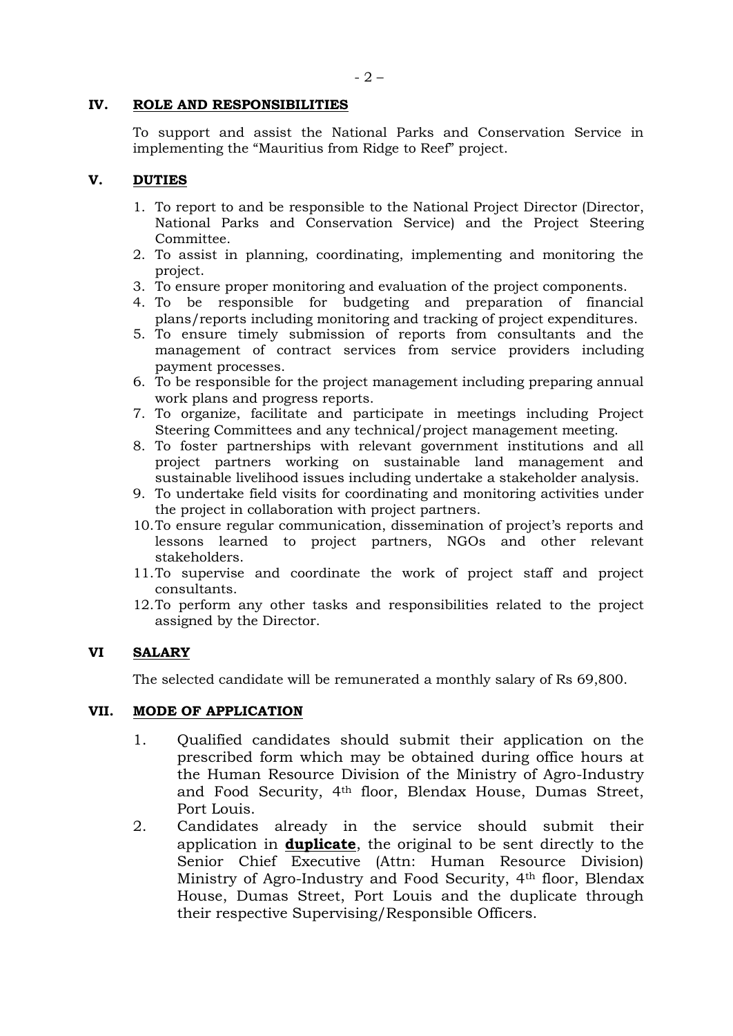#### **IV. ROLE AND RESPONSIBILITIES**

To support and assist the National Parks and Conservation Service in implementing the "Mauritius from Ridge to Reef" project.

### **V. DUTIES**

- 1. To report to and be responsible to the National Project Director (Director, National Parks and Conservation Service) and the Project Steering Committee.
- 2. To assist in planning, coordinating, implementing and monitoring the project.
- 3. To ensure proper monitoring and evaluation of the project components.
- 4. To be responsible for budgeting and preparation of financial plans/reports including monitoring and tracking of project expenditures.
- 5. To ensure timely submission of reports from consultants and the management of contract services from service providers including payment processes.
- 6. To be responsible for the project management including preparing annual work plans and progress reports.
- 7. To organize, facilitate and participate in meetings including Project Steering Committees and any technical/project management meeting.
- 8. To foster partnerships with relevant government institutions and all project partners working on sustainable land management and sustainable livelihood issues including undertake a stakeholder analysis.
- 9. To undertake field visits for coordinating and monitoring activities under the project in collaboration with project partners.
- 10.To ensure regular communication, dissemination of project's reports and lessons learned to project partners, NGOs and other relevant stakeholders.
- 11.To supervise and coordinate the work of project staff and project consultants.
- 12.To perform any other tasks and responsibilities related to the project assigned by the Director.

#### **VI SALARY**

The selected candidate will be remunerated a monthly salary of Rs 69,800.

#### **VII. MODE OF APPLICATION**

- 1. Qualified candidates should submit their application on the prescribed form which may be obtained during office hours at the Human Resource Division of the Ministry of Agro-Industry and Food Security, 4th floor, Blendax House, Dumas Street, Port Louis.
- 2. Candidates already in the service should submit their application in **duplicate**, the original to be sent directly to the Senior Chief Executive (Attn: Human Resource Division) Ministry of Agro-Industry and Food Security, 4th floor, Blendax House, Dumas Street, Port Louis and the duplicate through their respective Supervising/Responsible Officers.